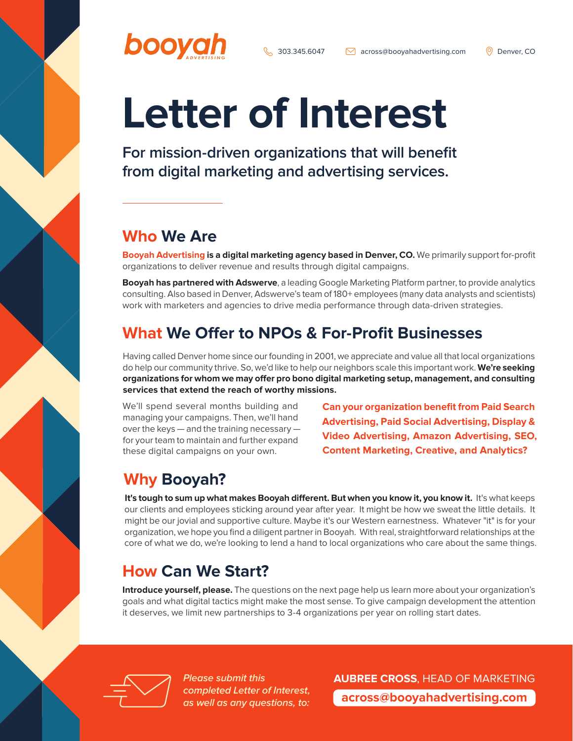# **Letter of Interest**

**For mission-driven organizations that will benefit from digital marketing and advertising services.**

### **Who We Are**

booya

**Booyah Advertising is a digital marketing agency based in Denver, CO.** We primarily support for-profit organizations to deliver revenue and results through digital campaigns.

**Booyah has partnered with Adswerve**, a leading Google Marketing Platform partner, to provide analytics consulting. Also based in Denver, Adswerve's team of 180+ employees (many data analysts and scientists) work with marketers and agencies to drive media performance through data-driven strategies.

## **What We Offer to NPOs & For-Profit Businesses**

Having called Denver home since our founding in 2001, we appreciate and value all that local organizations do help our community thrive. So, we'd like to help our neighbors scale this important work. **We're seeking organizations for whom we may offer pro bono digital marketing setup, management, and consulting services that extend the reach of worthy missions.**

We'll spend several months building and managing your campaigns. Then, we'll hand over the keys — and the training necessary for your team to maintain and further expand these digital campaigns on your own.

**Can your organization benefit from Paid Search Advertising, Paid Social Advertising, Display & Video Advertising, Amazon Advertising, SEO, Content Marketing, Creative, and Analytics?**

## **Why Booyah?**

It's tough to sum up what makes Booyah different. But when you know it, you know it. It's what keeps our clients and employees sticking around year after year. It might be how we sweat the little details. It might be our jovial and supportive culture. Maybe it's our Western earnestness. Whatever "it" is for your organization, we hope you find a diligent partner in Booyah. With real, straightforward relationships at the core of what we do, we're looking to lend a hand to local organizations who care about the same things.

## **How Can We Start?**

**Introduce yourself, please.** The questions on the next page help us learn more about your organization's goals and what digital tactics might make the most sense. To give campaign development the attention it deserves, we limit new partnerships to 3-4 organizations per year on rolling start dates.



**Please submit this completed Letter of Interest, as well as any questions, to:** **AUBREE CROSS**, HEAD OF MARKETING **[across@booyahadvertising.com](mailto:across%40booyahadvertising.com?subject=Hello%21)**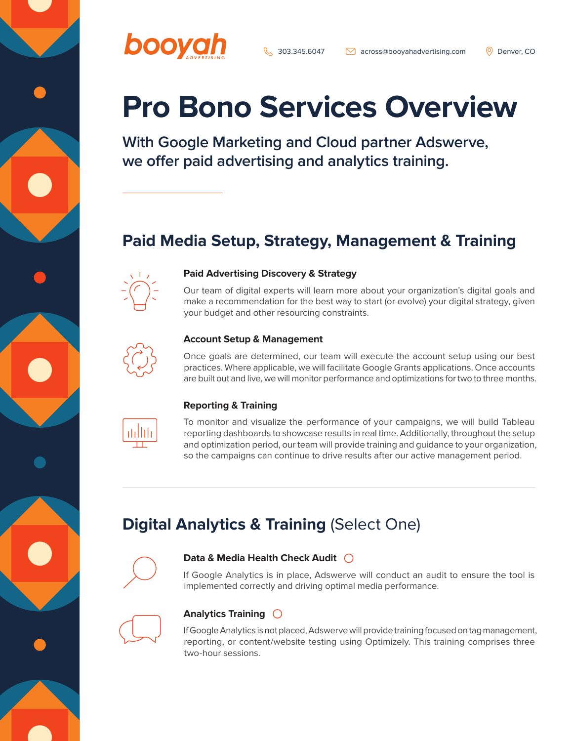

 $\setminus$  303.345.6047  $\setminus$  [across@booyahadvertising.com](mailto:across%40booyahadvertising.com?subject=Hello%21)  $\circ$  Denver, CO

## **Pro Bono Services Overview**

**With Google Marketing and Cloud partner Adswerve, we offer paid advertising and analytics training.**

## **Paid Media Setup, Strategy, Management & Training**



#### **Paid Advertising Discovery & Strategy**

Our team of digital experts will learn more about your organization's digital goals and make a recommendation for the best way to start (or evolve) your digital strategy, given your budget and other resourcing constraints.



#### **Account Setup & Management**

Once goals are determined, our team will execute the account setup using our best practices. Where applicable, we will facilitate Google Grants applications. Once accounts are built out and live, we will monitor performance and optimizations for two to three months.



#### **Reporting & Training**

To monitor and visualize the performance of your campaigns, we will build Tableau reporting dashboards to showcase results in real time. Additionally, throughout the setup and optimization period, our team will provide training and guidance to your organization, so the campaigns can continue to drive results after our active management period.

## **Digital Analytics & Training (Select One)**



#### **Data & Media Health Check Audit**

If Google Analytics is in place, Adswerve will conduct an audit to ensure the tool is implemented correctly and driving optimal media performance.



#### **Analytics Training**

If Google Analytics is not placed, Adswerve will provide training focused on tag management, reporting, or content/website testing using Optimizely. This training comprises three two-hour sessions.